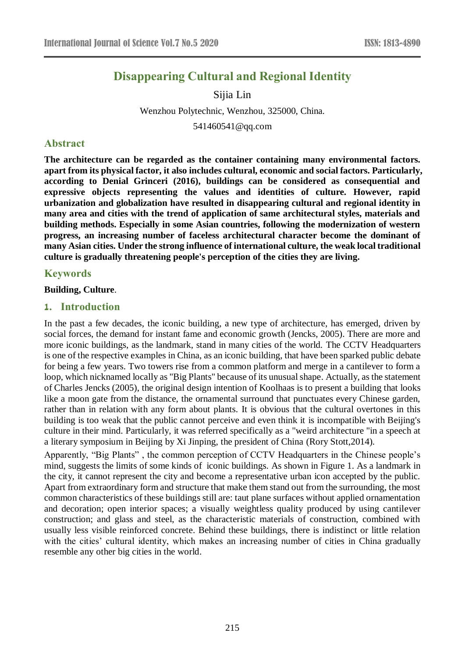# **Disappearing Cultural and Regional Identity**

Sijia Lin

Wenzhou Polytechnic, Wenzhou, 325000, China.

541460541@qq.com

### **Abstract**

**The architecture can be regarded as the container containing many environmental factors. apart from its physical factor, it also includes cultural, economic and social factors. Particularly, according to Denial Grinceri (2016), buildings can be considered as consequential and expressive objects representing the values and identities of culture. However, rapid urbanization and globalization have resulted in disappearing cultural and regional identity in many area and cities with the trend of application of same architectural styles, materials and building methods. Especially in some Asian countries, following the modernization of western progress, an increasing number of faceless architectural character become the dominant of many Asian cities. Under the strong influence of international culture, the weak local traditional culture is gradually threatening people's perception of the cities they are living.**

### **Keywords**

#### **Building, Culture**.

#### **1. Introduction**

In the past a few decades, the iconic building, a new type of architecture, has emerged, driven by social forces, the demand for instant fame and economic growth (Jencks, 2005). There are more and more iconic buildings, as the landmark, stand in many cities of the world. The CCTV Headquarters is one of the respective examples in China, as an iconic building, that have been sparked public debate for being a few years. Two towers rise from a common platform and merge in a cantilever to form a loop, which nicknamed locally as "Big Plants" because of its unusual shape. Actually, as the statement of Charles Jencks (2005), the original design intention of Koolhaas is to present a building that looks like a moon gate from the distance, the ornamental surround that punctuates every Chinese garden, rather than in relation with any form about plants. It is obvious that the cultural overtones in this building is too weak that the public cannot perceive and even think it is incompatible with Beijing's culture in their mind. Particularly, it was referred specifically as a "weird architecture "in a speech at a literary symposium in Beijing by Xi Jinping, the president of China [\(Rory Stott,](http://www.archdaily.com/author/rory-stott)2014).

Apparently, "Big Plants" , the common perception of CCTV Headquarters in the Chinese people's mind, suggests the limits of some kinds of iconic buildings. As shown in Figure 1. As a landmark in the city, it cannot represent the city and become a representative urban icon accepted by the public. Apart from extraordinary form and structure that make them stand out from the surrounding, the most common characteristics of these buildings still are: taut plane surfaces without applied ornamentation and decoration; open interior spaces; a visually weightless quality produced by using cantilever construction; and glass and steel, as the characteristic materials of construction, combined with usually less visible reinforced concrete. Behind these buildings, there is indistinct or little relation with the cities' cultural identity, which makes an increasing number of cities in China gradually resemble any other big cities in the world.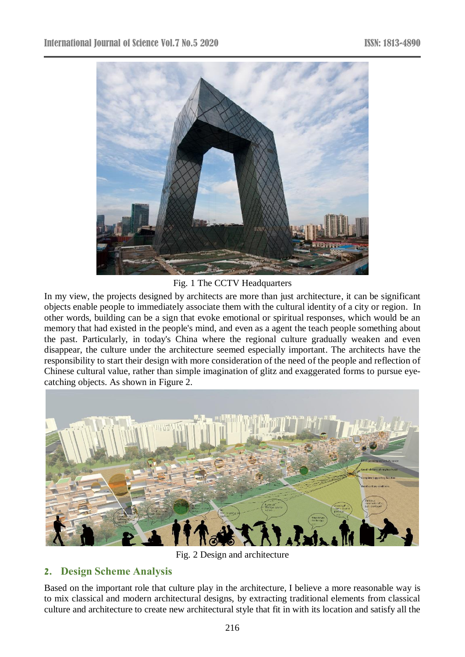

Fig. 1 The CCTV Headquarters

In my view, the projects designed by architects are more than just architecture, it can be significant objects enable people to immediately associate them with the cultural identity of a city or region. In other words, building can be a sign that evoke emotional or spiritual responses, which would be an memory that had existed in the people's mind, and even as a agent the teach people something about the past. Particularly, in today's China where the regional culture gradually weaken and even disappear, the culture under the architecture seemed especially important. The architects have the responsibility to start their design with more consideration of the need of the people and reflection of Chinese cultural value, rather than simple imagination of glitz and exaggerated forms to pursue eyecatching objects. As shown in Figure 2.



Fig. 2 Design and architecture

# **2. Design Scheme Analysis**

Based on the important role that culture play in the architecture, I believe a more reasonable way is to mix classical and modern architectural designs, by extracting traditional elements from classical culture and architecture to create new architectural style that fit in with its location and satisfy all the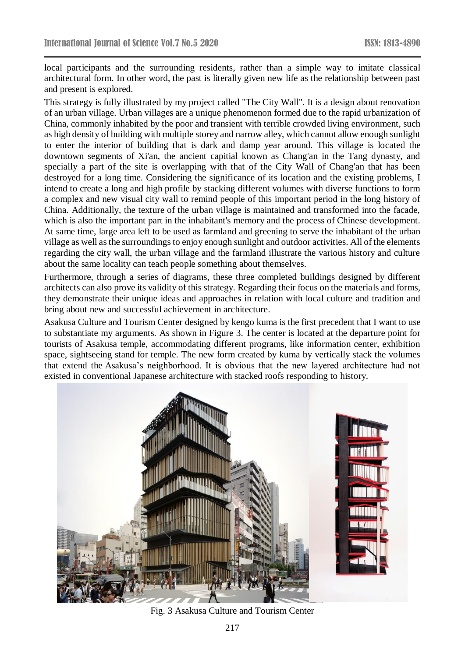local participants and the surrounding residents, rather than a simple way to imitate classical architectural form. In other word, the past is literally given new life as the relationship between past and present is explored.

This strategy is fully illustrated by my project called "The City Wall". It is a design about renovation of an urban village. Urban villages are a unique phenomenon formed due to the rapid urbanization of China, commonly inhabited by the poor and transient with terrible crowded living environment, such as high density of building with multiple storey and narrow alley, which cannot allow enough sunlight to enter the interior of building that is dark and damp year around. This village is located the downtown segments of Xi'an, the ancient capitial known as Chang'an in the Tang dynasty, and specially a part of the site is overlapping with that of the City Wall of Chang'an that has been destroyed for a long time. Considering the significance of its location and the existing problems, I intend to create a long and high profile by stacking different volumes with diverse functions to form a complex and new visual city wall to remind people of this important period in the long history of China. Additionally, the texture of the urban village is maintained and transformed into the facade, which is also the important part in the inhabitant's memory and the process of Chinese development. At same time, large area left to be used as farmland and greening to serve the inhabitant of the urban village as well as the surroundings to enjoy enough sunlight and outdoor activities. All of the elements regarding the city wall, the urban village and the farmland illustrate the various history and culture about the same locality can teach people something about themselves.

Furthermore, through a series of diagrams, these three completed buildings designed by different architects can also prove its validity of this strategy. Regarding their focus on the materials and forms, they demonstrate their unique ideas and approaches in relation with local culture and tradition and bring about new and successful achievement in architecture.

Asakusa Culture and Tourism Center designed by kengo kuma is the first precedent that I want to use to substantiate my arguments. As shown in Figure 3. The center is located at the departure point for tourists of Asakusa temple, accommodating different programs, like information center, exhibition space, sightseeing stand for temple. The new form created by kuma by vertically stack the volumes that extend the Asakusa's neighborhood. It is obvious that the new layered architecture had not existed in conventional Japanese architecture with stacked roofs responding to history.



Fig. 3 Asakusa Culture and Tourism Center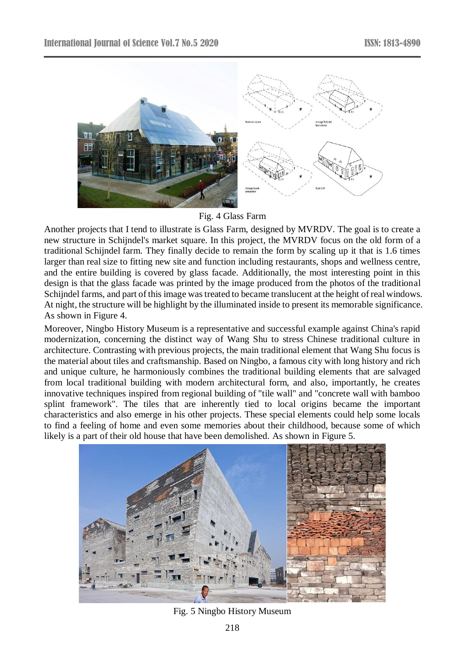

Fig. 4 Glass Farm

Another projects that I tend to illustrate is Glass Farm, designed by MVRDV. The goal is to create a new structure in [Schijndel'](http://www.archdaily.com/tag/schijndel)s market square. In this project, the MVRDV focus on the old form of a traditional [Schijndel](http://www.archdaily.com/tag/schijndel) farm. They finally decide to remain the form by scaling up it that is 1.6 times larger than real size to fitting new site and function including restaurants, shops and wellness centre, and the entire building is covered by glass facade. Additionally, the most interesting point in this design is that the glass facade was printed by the image produced from the photos of the traditional [Schijndel](http://www.archdaily.com/tag/schijndel) farms, and part of this image was treated to became translucent at the height of real windows. At night, the structure will be highlight by the illuminated inside to present its memorable significance. As shown in Figure 4.

Moreover, Ningbo History Museum is a representative and successful example against China's rapid modernization, concerning the distinct way of Wang Shu to stress Chinese traditional culture in architecture. Contrasting with previous projects, the main traditional element that Wang Shu focus is the material about tiles and craftsmanship. Based on Ningbo, a famous city with long history and rich and unique culture, he harmoniously combines the traditional building elements that are salvaged from local traditional building with modern architectural form, and also, importantly, he creates innovative techniques inspired from regional building of "tile wall" and "concrete wall with bamboo splint framework". The tiles that are inherently tied to local origins became the important characteristics and also emerge in his other projects. These special elements could help some locals to find a feeling of home and even some memories about their childhood, because some of which likely is a part of their old house that have been demolished. As shown in Figure 5.



Fig. 5 Ningbo History Museum